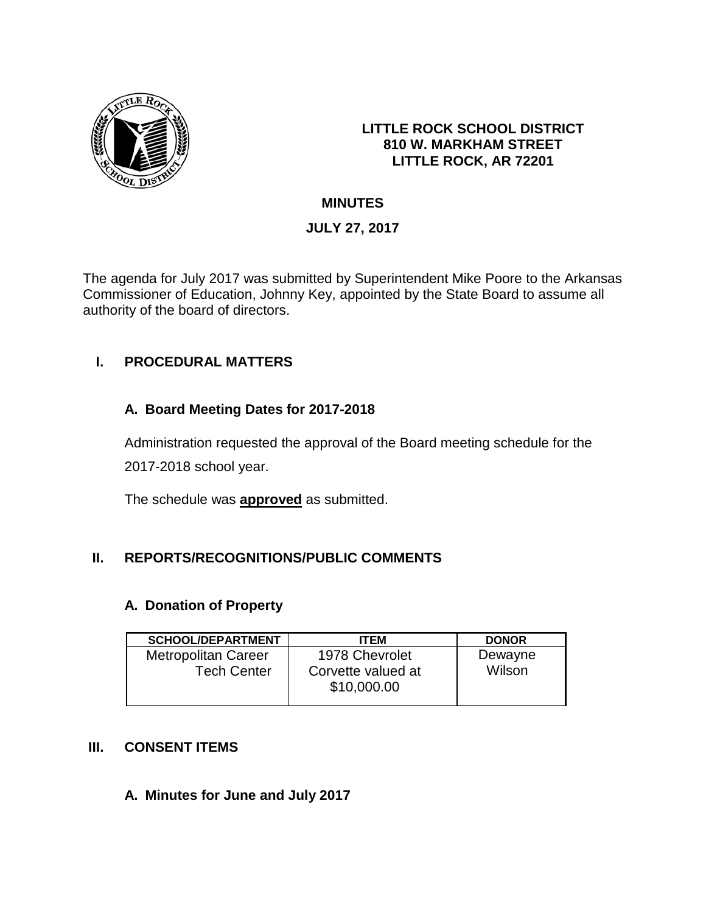

### **LITTLE ROCK SCHOOL DISTRICT 810 W. MARKHAM STREET LITTLE ROCK, AR 72201**

# **MINUTES**

# **JULY 27, 2017**

The agenda for July 2017 was submitted by Superintendent Mike Poore to the Arkansas Commissioner of Education, Johnny Key, appointed by the State Board to assume all authority of the board of directors.

# **I. PROCEDURAL MATTERS**

# **A. Board Meeting Dates for 2017-2018**

Administration requested the approval of the Board meeting schedule for the 2017-2018 school year.

The schedule was **approved** as submitted.

# **II. REPORTS/RECOGNITIONS/PUBLIC COMMENTS**

## **A. Donation of Property**

| <b>SCHOOL/DEPARTMENT</b>   | <b>ITEM</b>                       | <b>DONOR</b> |
|----------------------------|-----------------------------------|--------------|
| <b>Metropolitan Career</b> | 1978 Chevrolet                    | Dewayne      |
| <b>Tech Center</b>         | Corvette valued at<br>\$10,000.00 | Wilson       |

## **III. CONSENT ITEMS**

## **A. Minutes for June and July 2017**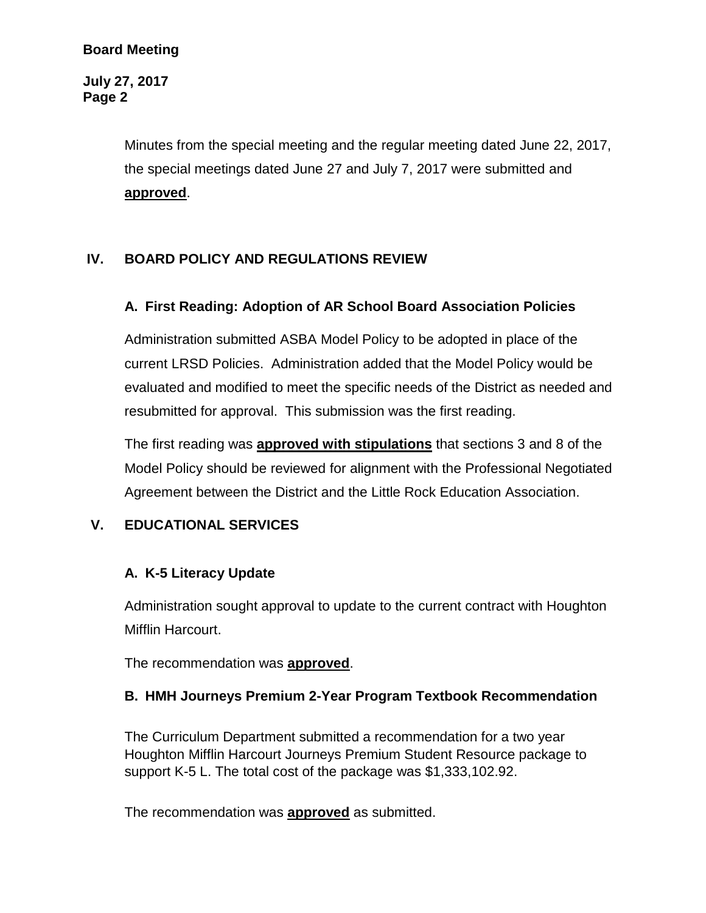### **Board Meeting**

**July 27, 2017 Page 2**

> Minutes from the special meeting and the regular meeting dated June 22, 2017, the special meetings dated June 27 and July 7, 2017 were submitted and **approved**.

# **IV. BOARD POLICY AND REGULATIONS REVIEW**

#### **A. First Reading: Adoption of AR School Board Association Policies**

Administration submitted ASBA Model Policy to be adopted in place of the current LRSD Policies. Administration added that the Model Policy would be evaluated and modified to meet the specific needs of the District as needed and resubmitted for approval. This submission was the first reading.

The first reading was **approved with stipulations** that sections 3 and 8 of the Model Policy should be reviewed for alignment with the Professional Negotiated Agreement between the District and the Little Rock Education Association.

## **V. EDUCATIONAL SERVICES**

#### **A. K-5 Literacy Update**

Administration sought approval to update to the current contract with Houghton Mifflin Harcourt.

The recommendation was **approved**.

#### **B. HMH Journeys Premium 2-Year Program Textbook Recommendation**

The Curriculum Department submitted a recommendation for a two year Houghton Mifflin Harcourt Journeys Premium Student Resource package to support K-5 L. The total cost of the package was \$1,333,102.92.

The recommendation was **approved** as submitted.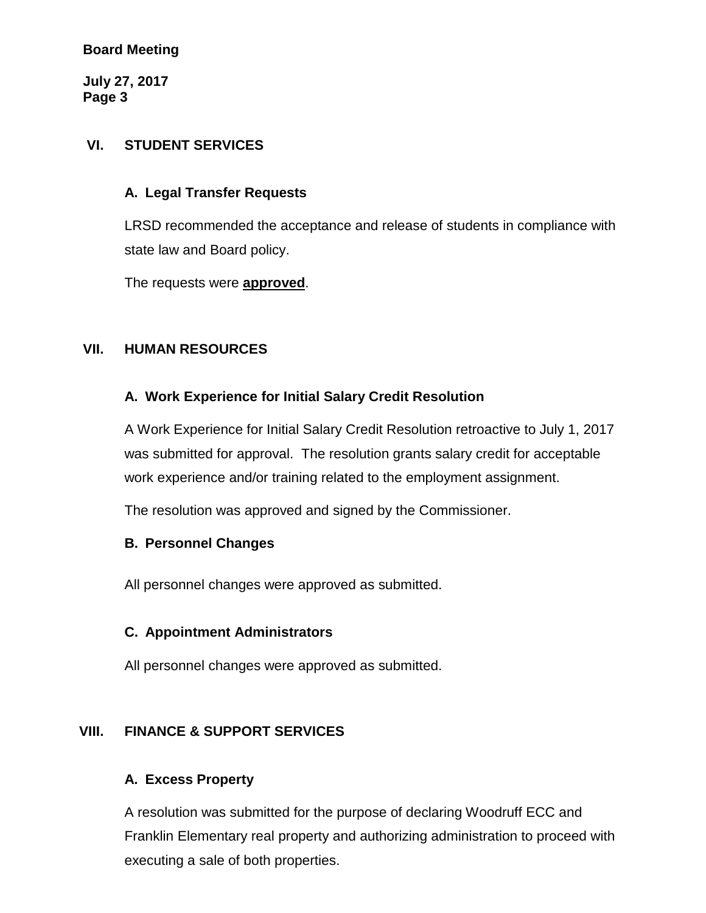### **Board Meeting**

**July 27, 2017 Page 3**

### **VI. STUDENT SERVICES**

### **A. Legal Transfer Requests**

LRSD recommended the acceptance and release of students in compliance with state law and Board policy.

The requests were **approved**.

### **VII. HUMAN RESOURCES**

### **A. Work Experience for Initial Salary Credit Resolution**

A Work Experience for Initial Salary Credit Resolution retroactive to July 1, 2017 was submitted for approval. The resolution grants salary credit for acceptable work experience and/or training related to the employment assignment.

The resolution was approved and signed by the Commissioner.

## **B. Personnel Changes**

All personnel changes were approved as submitted.

## **C. Appointment Administrators**

All personnel changes were approved as submitted.

## **VIII. FINANCE & SUPPORT SERVICES**

## **A. Excess Property**

A resolution was submitted for the purpose of declaring Woodruff ECC and Franklin Elementary real property and authorizing administration to proceed with executing a sale of both properties.